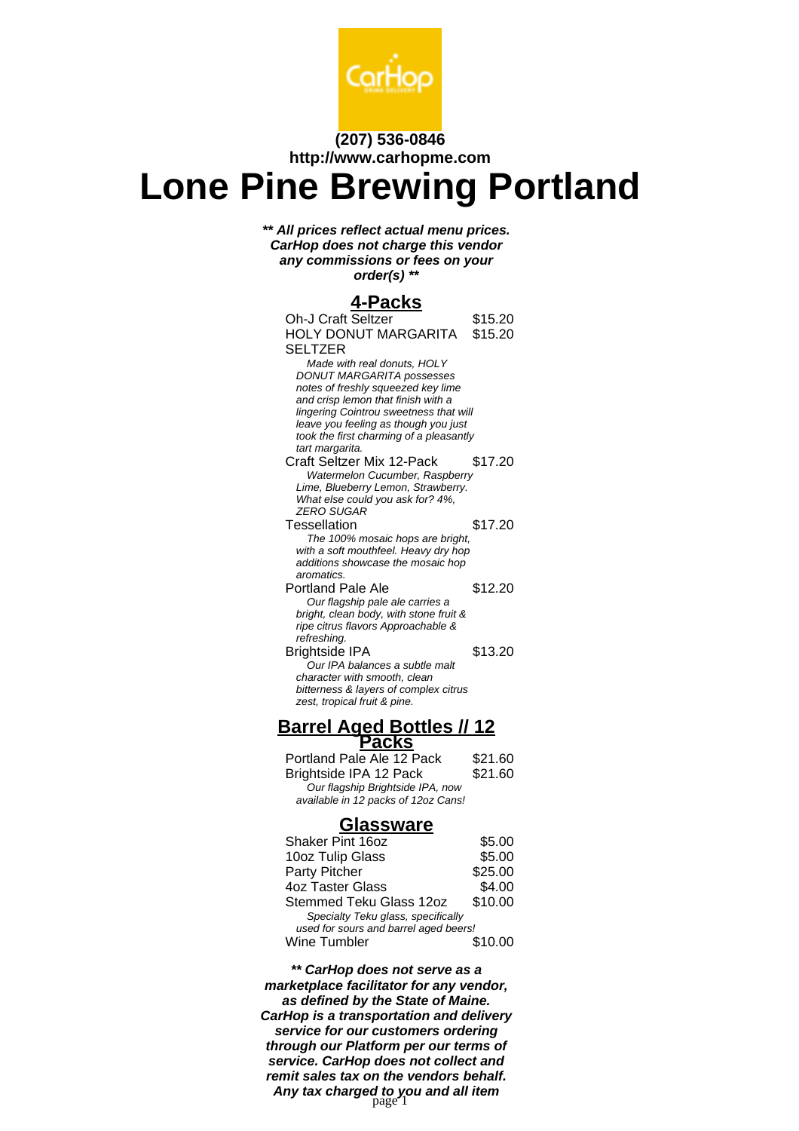

## **(207) 536-0846 http://www.carhopme.com**

## **Lone Pine Brewing Portland**

**\*\* All prices reflect actual menu prices. CarHop does not charge this vendor any commissions or fees on your order(s) \*\***

## **4-Packs**

| <u>iuna</u>                                                              |         |
|--------------------------------------------------------------------------|---------|
| Oh-J Craft Seltzer                                                       | \$15.20 |
| HOLY DONUT MARGARITA                                                     | \$15.20 |
| SELTZER                                                                  |         |
| Made with real donuts, HOLY                                              |         |
| <b>DONUT MARGARITA possesses</b>                                         |         |
| notes of freshly squeezed key lime                                       |         |
| and crisp lemon that finish with a                                       |         |
| lingering Cointrou sweetness that will                                   |         |
| leave you feeling as though you just                                     |         |
| took the first charming of a pleasantly                                  |         |
| tart margarita.                                                          |         |
| <b>Craft Seltzer Mix 12-Pack</b>                                         | \$17.20 |
| Watermelon Cucumber, Raspberry                                           |         |
| Lime, Blueberry Lemon, Strawberry.                                       |         |
| What else could you ask for? 4%,<br><b>ZERO SUGAR</b>                    |         |
|                                                                          |         |
| Tessellation                                                             | \$17.20 |
| The 100% mosaic hops are bright,<br>with a soft mouthfeel. Heavy dry hop |         |
| additions showcase the mosaic hop                                        |         |
| aromatics.                                                               |         |
| Portland Pale Ale                                                        | \$12.20 |
| Our flagship pale ale carries a                                          |         |
| bright, clean body, with stone fruit &                                   |         |
| ripe citrus flavors Approachable &                                       |         |
| refreshing.                                                              |         |
| <b>Brightside IPA</b>                                                    | \$13.20 |
| Our IPA balances a subtle malt                                           |         |
| character with smooth, clean                                             |         |
| bitterness & layers of complex citrus                                    |         |
| zest, tropical fruit & pine.                                             |         |
|                                                                          |         |
| <u>Barrel Aged Bottles // 12</u><br>Packs                                |         |
|                                                                          |         |
| Portland Pale Ale 12 Pack                                                | \$21.60 |
| Brightside IPA 12 Pack                                                   | \$21.60 |
| Our flagship Brightside IPA, now                                         |         |
| available in 12 packs of 12oz Cans!                                      |         |
|                                                                          |         |
| <b>Glassware</b>                                                         |         |
| Shaker Pint 16oz                                                         | \$5.00  |
| 10oz Tulip Glass                                                         | \$5.00  |
| Party Pitcher                                                            | \$25.00 |
|                                                                          |         |
| <b>4oz Taster Glass</b>                                                  | \$4.00  |
| Stemmed Teku Glass 12oz                                                  | \$10.00 |
| Specialty Teku glass, specifically                                       |         |
| used for sours and barrel aged beers!                                    |         |
| Wine Tumbler                                                             | \$10.00 |
|                                                                          |         |
|                                                                          |         |

**\*\* CarHop does not serve as a marketplace facilitator for any vendor, as defined by the State of Maine. CarHop is a transportation and delivery service for our customers ordering through our Platform per our terms of service. CarHop does not collect and remit sales tax on the vendors behalf. Any tax charged to you and all item** page 1